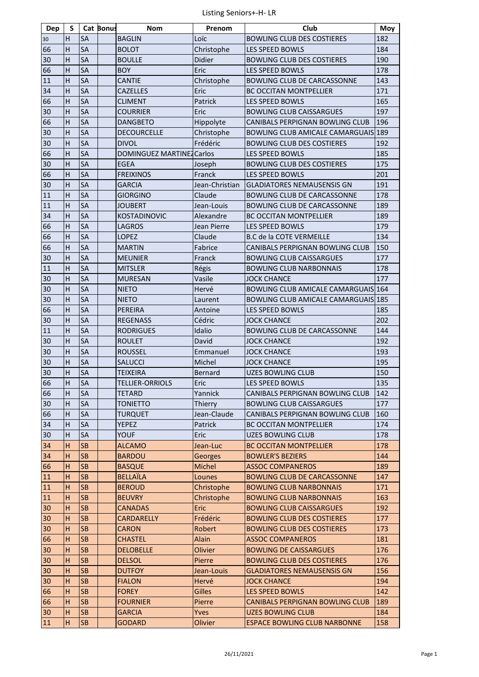| Dep | S                       |           | <b>Cat Bonus</b> | <b>Nom</b>                       | Prenom         | Club                                       | Moy |
|-----|-------------------------|-----------|------------------|----------------------------------|----------------|--------------------------------------------|-----|
| 30  | н                       | <b>SA</b> |                  | <b>BAGLIN</b>                    | Loïc           | <b>BOWLING CLUB DES COSTIERES</b>          | 182 |
| 66  | $\overline{H}$          | SA        |                  | <b>BOLOT</b>                     | Christophe     | <b>LES SPEED BOWLS</b>                     | 184 |
| 30  | H                       | SA        |                  | <b>BOULLE</b>                    | Didier         | <b>BOWLING CLUB DES COSTIERES</b>          | 190 |
| 66  | H                       | SA        |                  | <b>BOY</b>                       | Eric           | LES SPEED BOWLS                            | 178 |
| 11  | H                       | SA        |                  | <b>CANTIE</b>                    | Christophe     | BOWLING CLUB DE CARCASSONNE                | 143 |
| 34  | H                       | SA        |                  | <b>CAZELLES</b>                  | Eric           | <b>BC OCCITAN MONTPELLIER</b>              | 171 |
| 66  | H                       | SA        |                  | <b>CLIMENT</b>                   | Patrick        | LES SPEED BOWLS                            | 165 |
| 30  | $\overline{H}$          | SA        |                  | <b>COURRIER</b>                  | Eric           | <b>BOWLING CLUB CAISSARGUES</b>            | 197 |
| 66  | H                       | SA        |                  | <b>DANGBETO</b>                  | Hippolyte      | CANIBALS PERPIGNAN BOWLING CLUB            | 196 |
| 30  | H                       | SA        |                  | DECOURCELLE                      | Christophe     | BOWLING CLUB AMICALE CAMARGUAIS 189        |     |
| 30  | H                       | SA        |                  | <b>DIVOL</b>                     | Frédéric       | <b>BOWLING CLUB DES COSTIERES</b>          | 192 |
| 66  | H                       | SA        |                  | <b>DOMINGUEZ MARTINEZ Carlos</b> |                | LES SPEED BOWLS                            | 185 |
| 30  | H                       | SA        |                  | <b>EGEA</b>                      | Joseph         | <b>BOWLING CLUB DES COSTIERES</b>          | 175 |
| 66  | $\overline{H}$          | SA        |                  | <b>FREIXINOS</b>                 | Franck         | LES SPEED BOWLS                            | 201 |
| 30  | H                       | SA        |                  | <b>GARCIA</b>                    | Jean-Christian | <b>GLADIATORES NEMAUSENSIS GN</b>          | 191 |
| 11  | Н                       | SA        |                  | <b>GIORGINO</b>                  | Claude         | BOWLING CLUB DE CARCASSONNE                | 178 |
| 11  | $\overline{H}$          | SA        |                  | <b>JOUBERT</b>                   | Jean-Louis     | BOWLING CLUB DE CARCASSONNE                | 189 |
| 34  | $\overline{H}$          | SA        |                  | <b>KOSTADINOVIC</b>              | Alexandre      | <b>BC OCCITAN MONTPELLIER</b>              | 189 |
| 66  | Н                       | SA        |                  | <b>LAGROS</b>                    | Jean Pierre    | LES SPEED BOWLS                            | 179 |
| 66  | $\overline{\mathsf{H}}$ | SA        |                  | <b>LOPEZ</b>                     | Claude         | <b>B.C de la COTE VERMEILLE</b>            | 134 |
| 66  | H                       | <b>SA</b> |                  | <b>MARTIN</b>                    | Fabrice        | <b>CANIBALS PERPIGNAN BOWLING CLUB</b>     | 150 |
| 30  | Н                       | SA        |                  | <b>MEUNIER</b>                   | Franck         | <b>BOWLING CLUB CAISSARGUES</b>            | 177 |
| 11  | Н                       | SA        |                  | <b>MITSLER</b>                   | Régis          | <b>BOWLING CLUB NARBONNAIS</b>             | 178 |
| 30  | H                       | <b>SA</b> |                  | <b>MURESAN</b>                   | Vasile         | <b>JOCK CHANCE</b>                         | 177 |
| 30  | Н                       | SA        |                  | <b>NIETO</b>                     | Hervé          | BOWLING CLUB AMICALE CAMARGUAIS 164        |     |
| 30  | H                       | SA        |                  | <b>NIETO</b>                     | Laurent        | <b>BOWLING CLUB AMICALE CAMARGUAIS 185</b> |     |
| 66  | H                       | SA        |                  | PEREIRA                          | Antoine        | LES SPEED BOWLS                            | 185 |
| 30  | H                       | SA        |                  | <b>REGENASS</b>                  | Cédric         | <b>JOCK CHANCE</b>                         | 202 |
| 11  | H                       | SA        |                  | <b>RODRIGUES</b>                 | Idalio         | BOWLING CLUB DE CARCASSONNE                | 144 |
| 30  | Н                       | SA        |                  | <b>ROULET</b>                    | David          | <b>JOCK CHANCE</b>                         | 192 |
| 30  | H                       | SA        |                  | <b>ROUSSEL</b>                   | Emmanuel       | <b>JOCK CHANCE</b>                         | 193 |
| 30  | Н                       | SA        |                  | <b>SALUCCI</b>                   | Michel         | <b>JOCK CHANCE</b>                         | 195 |
| 30  | H                       | SA        |                  | <b>TEIXEIRA</b>                  | Bernard        | <b>UZES BOWLING CLUB</b>                   | 150 |
| 66  | $\overline{H}$          | SA        |                  | <b>TELLIER-ORRIOLS</b>           | Eric           | LES SPEED BOWLS                            | 135 |
| 66  | н                       | <b>SA</b> |                  | <b>TETARD</b>                    | Yannick        | CANIBALS PERPIGNAN BOWLING CLUB            | 142 |
| 30  | н                       | SA        |                  | <b>TONIETTO</b>                  | Thierry        | <b>BOWLING CLUB CAISSARGUES</b>            | 177 |
| 66  | н                       | SA        |                  | <b>TURQUET</b>                   | Jean-Claude    | CANIBALS PERPIGNAN BOWLING CLUB            | 160 |
| 34  | н                       | <b>SA</b> |                  | YEPEZ                            | Patrick        | <b>BC OCCITAN MONTPELLIER</b>              | 174 |
| 30  | Н                       | SA        |                  | <b>YOUF</b>                      | Eric           | <b>UZES BOWLING CLUB</b>                   | 178 |
| 34  | н                       | SB.       |                  | <b>ALCAMO</b>                    | Jean-Luc       | <b>BC OCCITAN MONTPELLIER</b>              | 178 |
| 34  | н                       | <b>SB</b> |                  | <b>BARDOU</b>                    | <b>Georges</b> | <b>BOWLER'S BEZIERS</b>                    | 144 |
| 66  | н                       | <b>SB</b> |                  | <b>BASQUE</b>                    | Michel         | <b>ASSOC COMPANEROS</b>                    | 189 |
| 11  | н                       | <b>SB</b> |                  | <b>BELLAÏLA</b>                  | Lounes         | <b>BOWLING CLUB DE CARCASSONNE</b>         | 147 |
| 11  | н                       | <b>SB</b> |                  | <b>BEROUD</b>                    | Christophe     | <b>BOWLING CLUB NARBONNAIS</b>             | 171 |
| 11  | H                       | <b>SB</b> |                  | <b>BEUVRY</b>                    | Christophe     | <b>BOWLING CLUB NARBONNAIS</b>             | 163 |
| 30  | H                       | <b>SB</b> |                  | <b>CANADAS</b>                   | Eric           | <b>BOWLING CLUB CAISSARGUES</b>            | 192 |
| 30  | н                       | <b>SB</b> |                  | CARDARELLY                       | Frédéric       | <b>BOWLING CLUB DES COSTIERES</b>          | 177 |
| 30  | Н                       | <b>SB</b> |                  | <b>CARON</b>                     | Robert         | <b>BOWLING CLUB DES COSTIERES</b>          | 173 |
| 66  | н                       | <b>SB</b> |                  | <b>CHASTEL</b>                   | Alain          | <b>ASSOC COMPANEROS</b>                    | 181 |
| 30  | H                       | <b>SB</b> |                  | <b>DELOBELLE</b>                 | Olivier        | <b>BOWLING DE CAISSARGUES</b>              | 176 |
| 30  | Н                       | <b>SB</b> |                  | <b>DELSOL</b>                    | Pierre         | <b>BOWLING CLUB DES COSTIERES</b>          | 176 |
| 30  | н                       | <b>SB</b> |                  | <b>DUTFOY</b>                    | Jean-Louis     | <b>GLADIATORES NEMAUSENSIS GN</b>          | 156 |
| 30  | н                       | <b>SB</b> |                  | <b>FIALON</b>                    | Hervé          | <b>JOCK CHANCE</b>                         | 194 |
| 66  | н                       | <b>SB</b> |                  | <b>FOREY</b>                     | <b>Gilles</b>  | LES SPEED BOWLS                            | 142 |
| 66  | н                       | <b>SB</b> |                  | <b>FOURNIER</b>                  | Pierre         | <b>CANIBALS PERPIGNAN BOWLING CLUB</b>     | 189 |
| 30  | н                       | <b>SB</b> |                  | <b>GARCIA</b>                    | Yves           | <b>UZES BOWLING CLUB</b>                   | 184 |
| 11  | H                       | <b>SB</b> |                  | <b>GODARD</b>                    | Olivier        | <b>ESPACE BOWLING CLUB NARBONNE</b>        | 158 |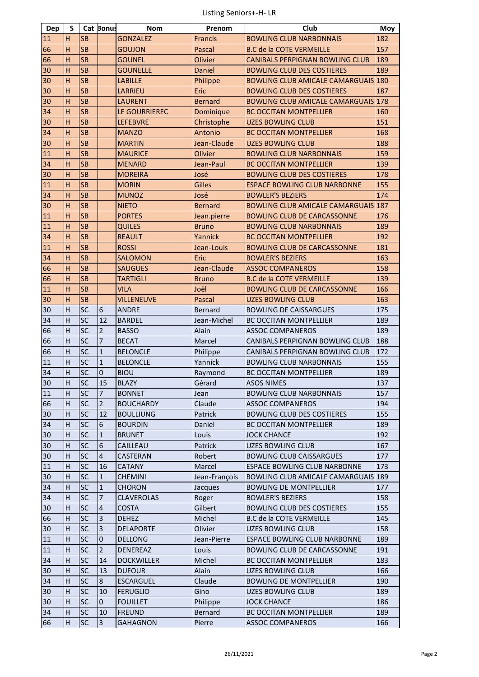| Dep | S              |           | <b>Cat Bonus</b> | <b>Nom</b>        | Prenom         | Club                                       | Moy |
|-----|----------------|-----------|------------------|-------------------|----------------|--------------------------------------------|-----|
| 11  | н              | <b>SB</b> |                  | <b>GONZALEZ</b>   | <b>Francis</b> | <b>BOWLING CLUB NARBONNAIS</b>             | 182 |
| 66  | $\overline{H}$ | <b>SB</b> |                  | <b>GOUJON</b>     | Pascal         | <b>B.C de la COTE VERMEILLE</b>            | 157 |
| 66  | H              | <b>SB</b> |                  | <b>GOUNEL</b>     | Olivier        | <b>CANIBALS PERPIGNAN BOWLING CLUB</b>     | 189 |
| 30  | H              | <b>SB</b> |                  | <b>GOUNELLE</b>   | Daniel         | <b>BOWLING CLUB DES COSTIERES</b>          | 189 |
| 30  | H              | <b>SB</b> |                  | <b>LABILLE</b>    | Philippe       | <b>BOWLING CLUB AMICALE CAMARGUAIS 180</b> |     |
| 30  | H              | <b>SB</b> |                  | LARRIEU           | Eric           | <b>BOWLING CLUB DES COSTIERES</b>          | 187 |
| 30  | $\overline{H}$ | <b>SB</b> |                  | <b>LAURENT</b>    | <b>Bernard</b> | <b>BOWLING CLUB AMICALE CAMARGUAIS 178</b> |     |
| 34  | $\overline{H}$ | <b>SB</b> |                  | LE GOURRIEREC     | Dominique      | <b>BC OCCITAN MONTPELLIER</b>              | 160 |
| 30  | H              | <b>SB</b> |                  | <b>LEFEBVRE</b>   | Christophe     | <b>UZES BOWLING CLUB</b>                   | 151 |
| 34  | H              | <b>SB</b> |                  | <b>MANZO</b>      | Antonio        | <b>BC OCCITAN MONTPELLIER</b>              | 168 |
| 30  | H              | <b>SB</b> |                  | <b>MARTIN</b>     | Jean-Claude    | <b>UZES BOWLING CLUB</b>                   | 188 |
| 11  | H              | <b>SB</b> |                  | <b>MAURICE</b>    | Olivier        | <b>BOWLING CLUB NARBONNAIS</b>             | 159 |
| 34  | H              | <b>SB</b> |                  | <b>MENARD</b>     | Jean-Paul      | <b>BC OCCITAN MONTPELLIER</b>              | 139 |
| 30  | $\overline{H}$ | <b>SB</b> |                  | <b>MOREIRA</b>    | José           | <b>BOWLING CLUB DES COSTIERES</b>          | 178 |
| 11  | $\overline{H}$ | <b>SB</b> |                  | <b>MORIN</b>      | <b>Gilles</b>  | <b>ESPACE BOWLING CLUB NARBONNE</b>        | 155 |
| 34  | H              | <b>SB</b> |                  | <b>MUNOZ</b>      | José           | <b>BOWLER'S BEZIERS</b>                    | 174 |
| 30  | H              | <b>SB</b> |                  | <b>NIETO</b>      | <b>Bernard</b> | <b>BOWLING CLUB AMICALE CAMARGUAIS 187</b> |     |
| 11  | $\overline{H}$ | <b>SB</b> |                  | <b>PORTES</b>     | Jean.pierre    | <b>BOWLING CLUB DE CARCASSONNE</b>         | 176 |
| 11  | H              | <b>SB</b> |                  | <b>QUILES</b>     | <b>Bruno</b>   | <b>BOWLING CLUB NARBONNAIS</b>             | 189 |
| 34  | H              | <b>SB</b> |                  | <b>REAULT</b>     | Yannick        | <b>BC OCCITAN MONTPELLIER</b>              | 192 |
| 11  | $\overline{H}$ | <b>SB</b> |                  | <b>ROSSI</b>      | Jean-Louis     | <b>BOWLING CLUB DE CARCASSONNE</b>         | 181 |
| 34  | H              | <b>SB</b> |                  | <b>SALOMON</b>    | Eric           | <b>BOWLER'S BEZIERS</b>                    | 163 |
| 66  | H              | <b>SB</b> |                  | <b>SAUGUES</b>    | Jean-Claude    | <b>ASSOC COMPANEROS</b>                    | 158 |
| 66  | H              | <b>SB</b> |                  | <b>TARTIGLI</b>   | <b>Bruno</b>   | <b>B.C de la COTE VERMEILLE</b>            | 139 |
| 11  | H              | <b>SB</b> |                  | <b>VILA</b>       | Joël           | <b>BOWLING CLUB DE CARCASSONNE</b>         | 166 |
| 30  | $\overline{H}$ | <b>SB</b> |                  | <b>VILLENEUVE</b> | Pascal         | <b>UZES BOWLING CLUB</b>                   | 163 |
| 30  | H              | SC        | 6                | <b>ANDRE</b>      | Bernard        | <b>BOWLING DE CAISSARGUES</b>              | 175 |
| 34  | H              | SC        | 12               | <b>BARDEL</b>     | Jean-Michel    | <b>BC OCCITAN MONTPELLIER</b>              | 189 |
| 66  | Н              | SC        | $\overline{2}$   | <b>BASSO</b>      | Alain          | <b>ASSOC COMPANEROS</b>                    | 189 |
| 66  | Н              | SC        | $\overline{7}$   | <b>BECAT</b>      | Marcel         | CANIBALS PERPIGNAN BOWLING CLUB            | 188 |
| 66  | H              | SC        | $\mathbf{1}$     | <b>BELONCLE</b>   | Philippe       | CANIBALS PERPIGNAN BOWLING CLUB            | 172 |
| 11  | Н              | SC        | $\overline{1}$   | <b>BELONCLE</b>   | Yannick        | <b>BOWLING CLUB NARBONNAIS</b>             | 155 |
| 34  | H              | SC        | $\overline{0}$   | <b>BIOU</b>       | Raymond        | BC OCCITAN MONTPELLIER                     | 189 |
| 30  | $\overline{H}$ | SC        | 15               | <b>BLAZY</b>      | Gérard         | <b>ASOS NIMES</b>                          | 137 |
| 11  | н              | <b>SC</b> | 7                | <b>BONNET</b>     | Jean           | <b>BOWLING CLUB NARBONNAIS</b>             | 157 |
| 66  | н              | <b>SC</b> | $\overline{2}$   | <b>BOUCHARDY</b>  | Claude         | <b>ASSOC COMPANEROS</b>                    | 194 |
| 30  | н              | <b>SC</b> | 12               | <b>BOULLIUNG</b>  | Patrick        | <b>BOWLING CLUB DES COSTIERES</b>          | 155 |
| 34  | Н              | SC        | 6                | <b>BOURDIN</b>    | Daniel         | <b>BC OCCITAN MONTPELLIER</b>              | 189 |
| 30  | Н              | <b>SC</b> | $\mathbf{1}$     | <b>BRUNET</b>     | Louis          | <b>JOCK CHANCE</b>                         | 192 |
| 30  | H              | <b>SC</b> | 6                | CAILLEAU          | Patrick        | <b>UZES BOWLING CLUB</b>                   | 167 |
| 30  | н              | <b>SC</b> | 4                | CASTERAN          | Robert         | <b>BOWLING CLUB CAISSARGUES</b>            | 177 |
| 11  | Н              | <b>SC</b> | 16               | <b>CATANY</b>     | Marcel         | <b>ESPACE BOWLING CLUB NARBONNE</b>        | 173 |
| 30  | н              | <b>SC</b> | $\mathbf{1}$     | <b>CHEMINI</b>    | Jean-François  | BOWLING CLUB AMICALE CAMARGUAIS 189        |     |
| 34  | H              | <b>SC</b> | $\mathbf{1}$     | CHORON            | Jacques        | <b>BOWLING DE MONTPELLIER</b>              | 177 |
| 34  | Н              | <b>SC</b> | $\overline{7}$   | <b>CLAVEROLAS</b> | Roger          | <b>BOWLER'S BEZIERS</b>                    | 158 |
| 30  | H              | <b>SC</b> | $\overline{4}$   | <b>COSTA</b>      | Gilbert        | <b>BOWLING CLUB DES COSTIERES</b>          | 155 |
| 66  | Н              | <b>SC</b> | $\overline{3}$   | <b>DEHEZ</b>      | Michel         | B.C de la COTE VERMEILLE                   | 145 |
| 30  | Н              | <b>SC</b> | 3                | <b>DELAPORTE</b>  | Olivier        | <b>UZES BOWLING CLUB</b>                   | 158 |
| 11  | н              | <b>SC</b> | 0                | <b>DELLONG</b>    | Jean-Pierre    | <b>ESPACE BOWLING CLUB NARBONNE</b>        | 189 |
| 11  | H              | <b>SC</b> | $\overline{2}$   | <b>DENEREAZ</b>   | Louis          | BOWLING CLUB DE CARCASSONNE                | 191 |
| 34  | Н              | <b>SC</b> | 14               | <b>DOCKWILLER</b> | Michel         | <b>BC OCCITAN MONTPELLIER</b>              | 183 |
| 30  | н              | <b>SC</b> | 13               | <b>DUFOUR</b>     | Alain          | <b>UZES BOWLING CLUB</b>                   | 166 |
| 34  | H              | <b>SC</b> | 8                | <b>ESCARGUEL</b>  | Claude         | <b>BOWLING DE MONTPELLIER</b>              | 190 |
| 30  | н              | <b>SC</b> | 10               | <b>FERUGLIO</b>   | Gino           | UZES BOWLING CLUB                          | 189 |
|     |                | <b>SC</b> |                  | <b>FOUILLET</b>   | Philippe       | <b>JOCK CHANCE</b>                         | 186 |
| 30  | н              | <b>SC</b> | 0                |                   |                |                                            |     |
| 34  | Н              |           | 10               | <b>FREUND</b>     | Bernard        | BC OCCITAN MONTPELLIER                     | 189 |
| 66  | Н              | <b>SC</b> | $\overline{3}$   | <b>GAHAGNON</b>   | Pierre         | <b>ASSOC COMPANEROS</b>                    | 166 |